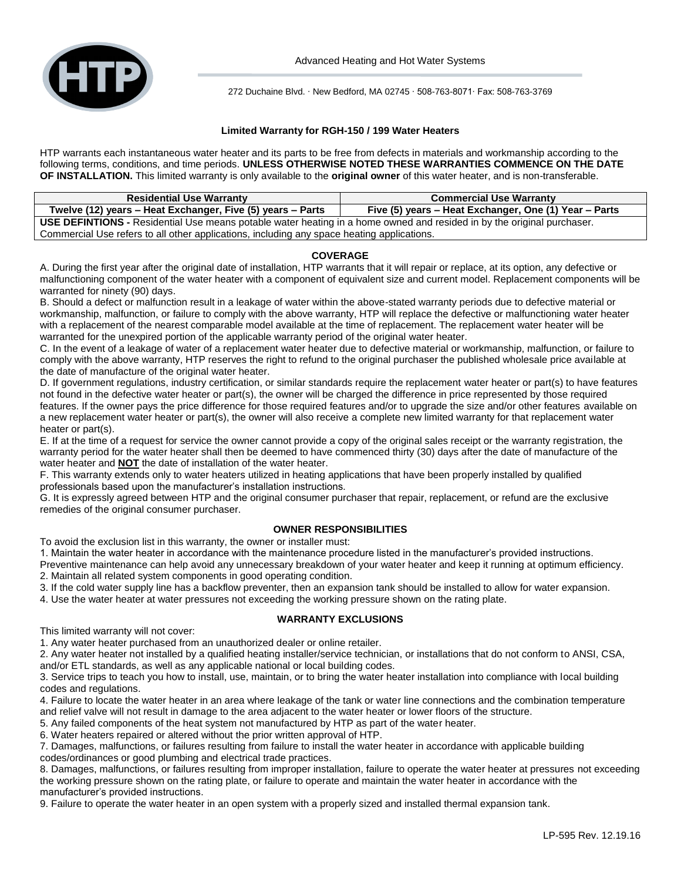

272 Duchaine Blvd. ∙ New Bedford, MA 02745 ∙ 508-763-8071∙ Fax: 508-763-3769

# **Limited Warranty for RGH-150 / 199 Water Heaters**

HTP warrants each instantaneous water heater and its parts to be free from defects in materials and workmanship according to the following terms, conditions, and time periods. **UNLESS OTHERWISE NOTED THESE WARRANTIES COMMENCE ON THE DATE OF INSTALLATION.** This limited warranty is only available to the **original owner** of this water heater, and is non-transferable.

| <b>Residential Use Warranty</b>                                                                                               | <b>Commercial Use Warranty</b>                        |
|-------------------------------------------------------------------------------------------------------------------------------|-------------------------------------------------------|
| Twelve (12) years – Heat Exchanger, Five (5) years – Parts                                                                    | Five (5) years – Heat Exchanger, One (1) Year – Parts |
| <b>USE DEFINTIONS</b> - Residential Use means potable water heating in a home owned and resided in by the original purchaser. |                                                       |
| Commercial Use refers to all other applications, including any space heating applications.                                    |                                                       |

# **COVERAGE**

A. During the first year after the original date of installation, HTP warrants that it will repair or replace, at its option, any defective or malfunctioning component of the water heater with a component of equivalent size and current model. Replacement components will be warranted for ninety (90) days.

B. Should a defect or malfunction result in a leakage of water within the above-stated warranty periods due to defective material or workmanship, malfunction, or failure to comply with the above warranty, HTP will replace the defective or malfunctioning water heater with a replacement of the nearest comparable model available at the time of replacement. The replacement water heater will be warranted for the unexpired portion of the applicable warranty period of the original water heater.

C. In the event of a leakage of water of a replacement water heater due to defective material or workmanship, malfunction, or failure to comply with the above warranty, HTP reserves the right to refund to the original purchaser the published wholesale price available at the date of manufacture of the original water heater.

D. If government regulations, industry certification, or similar standards require the replacement water heater or part(s) to have features not found in the defective water heater or part(s), the owner will be charged the difference in price represented by those required features. If the owner pays the price difference for those required features and/or to upgrade the size and/or other features available on a new replacement water heater or part(s), the owner will also receive a complete new limited warranty for that replacement water heater or part(s).

E. If at the time of a request for service the owner cannot provide a copy of the original sales receipt or the warranty registration, the warranty period for the water heater shall then be deemed to have commenced thirty (30) days after the date of manufacture of the water heater and **NOT** the date of installation of the water heater.

F. This warranty extends only to water heaters utilized in heating applications that have been properly installed by qualified professionals based upon the manufacturer's installation instructions.

G. It is expressly agreed between HTP and the original consumer purchaser that repair, replacement, or refund are the exclusive remedies of the original consumer purchaser.

# **OWNER RESPONSIBILITIES**

To avoid the exclusion list in this warranty, the owner or installer must:

1. Maintain the water heater in accordance with the maintenance procedure listed in the manufacturer's provided instructions.

- Preventive maintenance can help avoid any unnecessary breakdown of your water heater and keep it running at optimum efficiency. 2. Maintain all related system components in good operating condition.
- 3. If the cold water supply line has a backflow preventer, then an expansion tank should be installed to allow for water expansion.
- 4. Use the water heater at water pressures not exceeding the working pressure shown on the rating plate.

# **WARRANTY EXCLUSIONS**

This limited warranty will not cover:

1. Any water heater purchased from an unauthorized dealer or online retailer.

2. Any water heater not installed by a qualified heating installer/service technician, or installations that do not conform to ANSI, CSA, and/or ETL standards, as well as any applicable national or local building codes.

3. Service trips to teach you how to install, use, maintain, or to bring the water heater installation into compliance with local building codes and regulations.

4. Failure to locate the water heater in an area where leakage of the tank or water line connections and the combination temperature and relief valve will not result in damage to the area adjacent to the water heater or lower floors of the structure.

5. Any failed components of the heat system not manufactured by HTP as part of the water heater.

6. Water heaters repaired or altered without the prior written approval of HTP.

7. Damages, malfunctions, or failures resulting from failure to install the water heater in accordance with applicable building codes/ordinances or good plumbing and electrical trade practices.

8. Damages, malfunctions, or failures resulting from improper installation, failure to operate the water heater at pressures not exceeding the working pressure shown on the rating plate, or failure to operate and maintain the water heater in accordance with the manufacturer's provided instructions.

9. Failure to operate the water heater in an open system with a properly sized and installed thermal expansion tank.